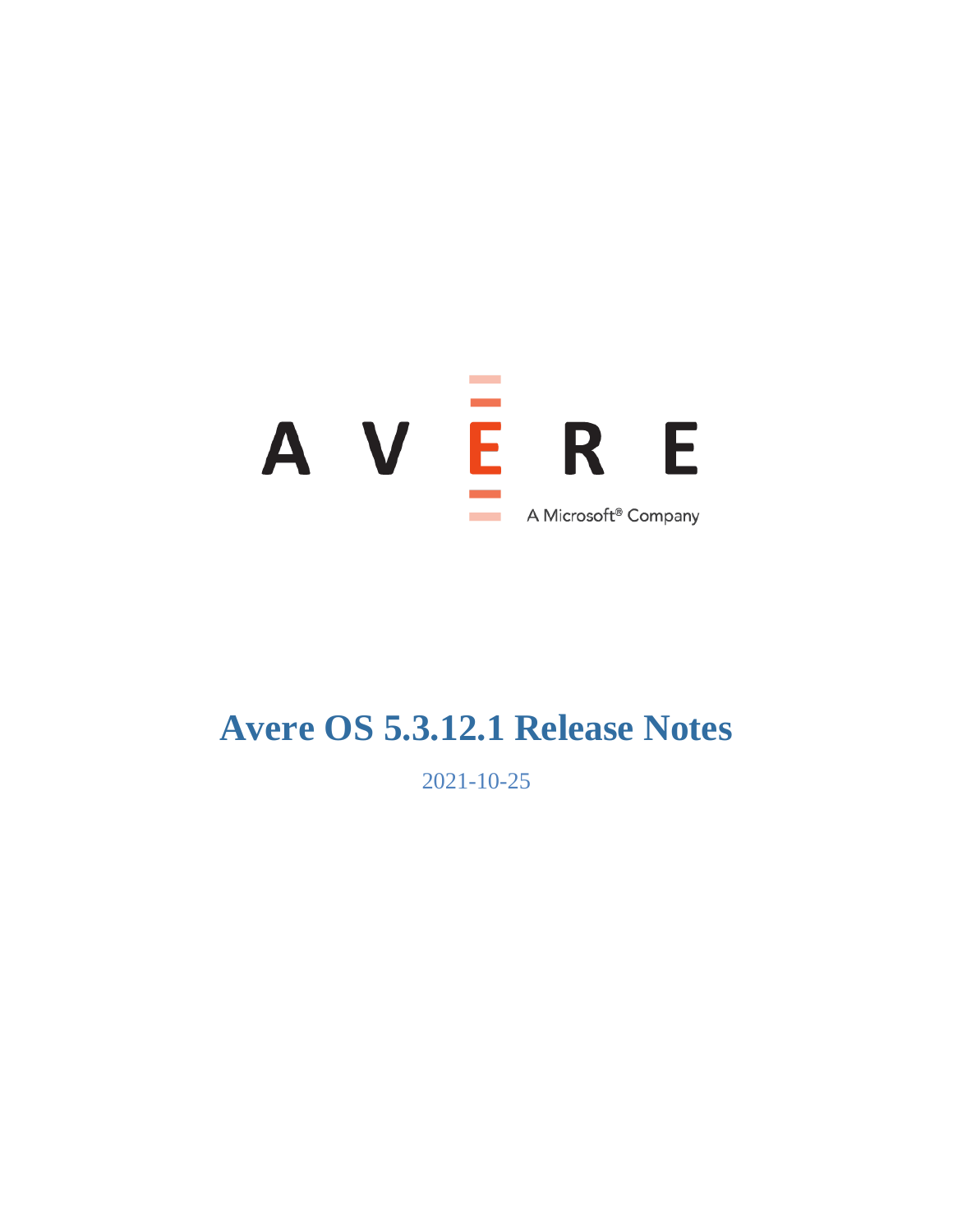

# **Avere OS 5.3.12.1 Release Notes**

2021-10-25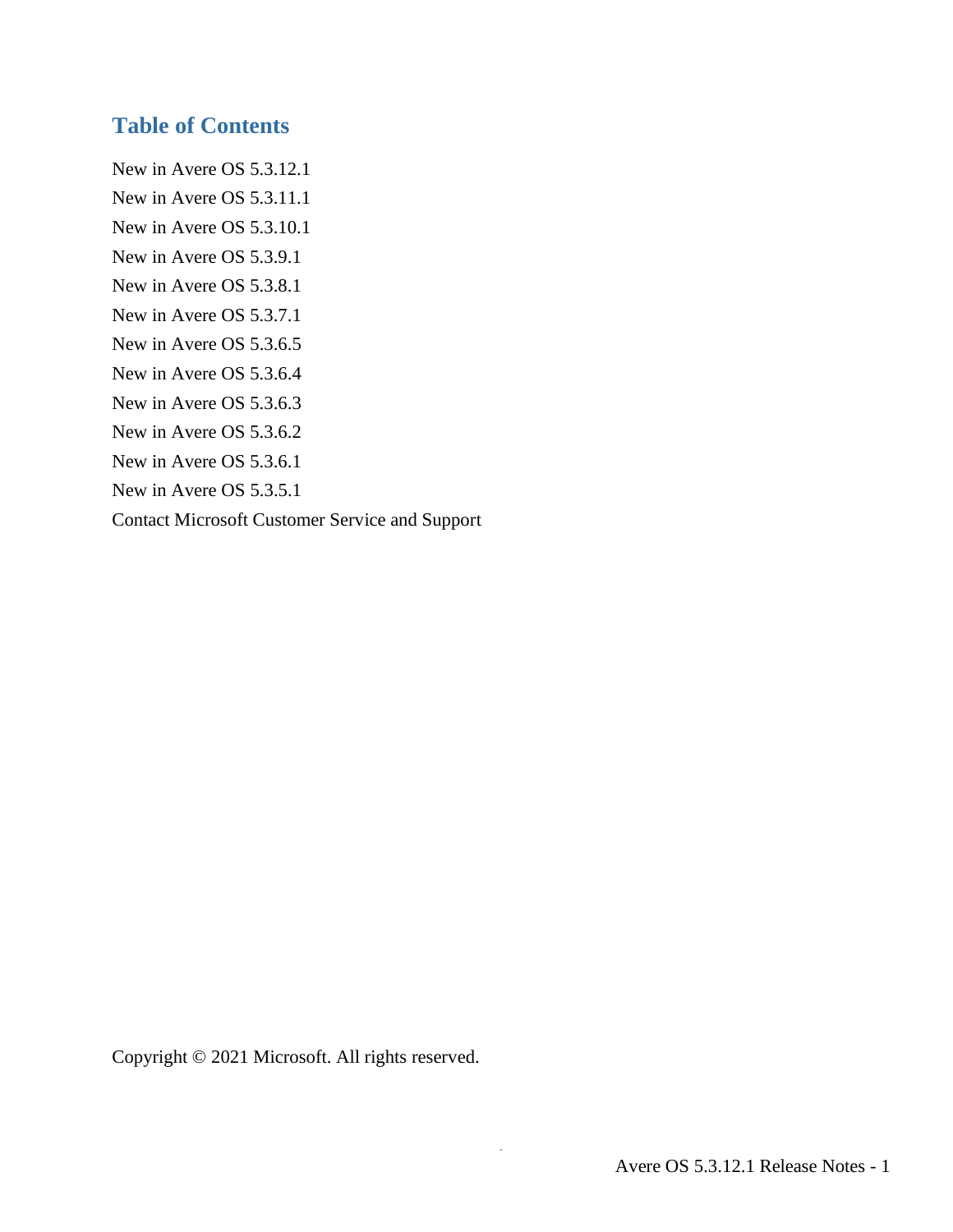### **Table of Contents**

New in Avere OS 5.3.12.1

- New in Avere OS 5.3.11.1
- New in Avere OS 5.3.10.1
- New in Avere OS 5.3.9.1
- New in Avere OS 5.3.8.1
- New in Avere OS 5.3.7.1
- New in Avere OS 5.3.6.5
- New in Avere OS 5.3.6.4
- New in Avere OS 5.3.6.3
- New in Avere OS 5.3.6.2
- New in Avere OS 5.3.6.1
- New in Avere OS 5.3.5.1
- Contact Microsoft Customer Service and Support

Copyright © 2021 Microsoft. All rights reserved.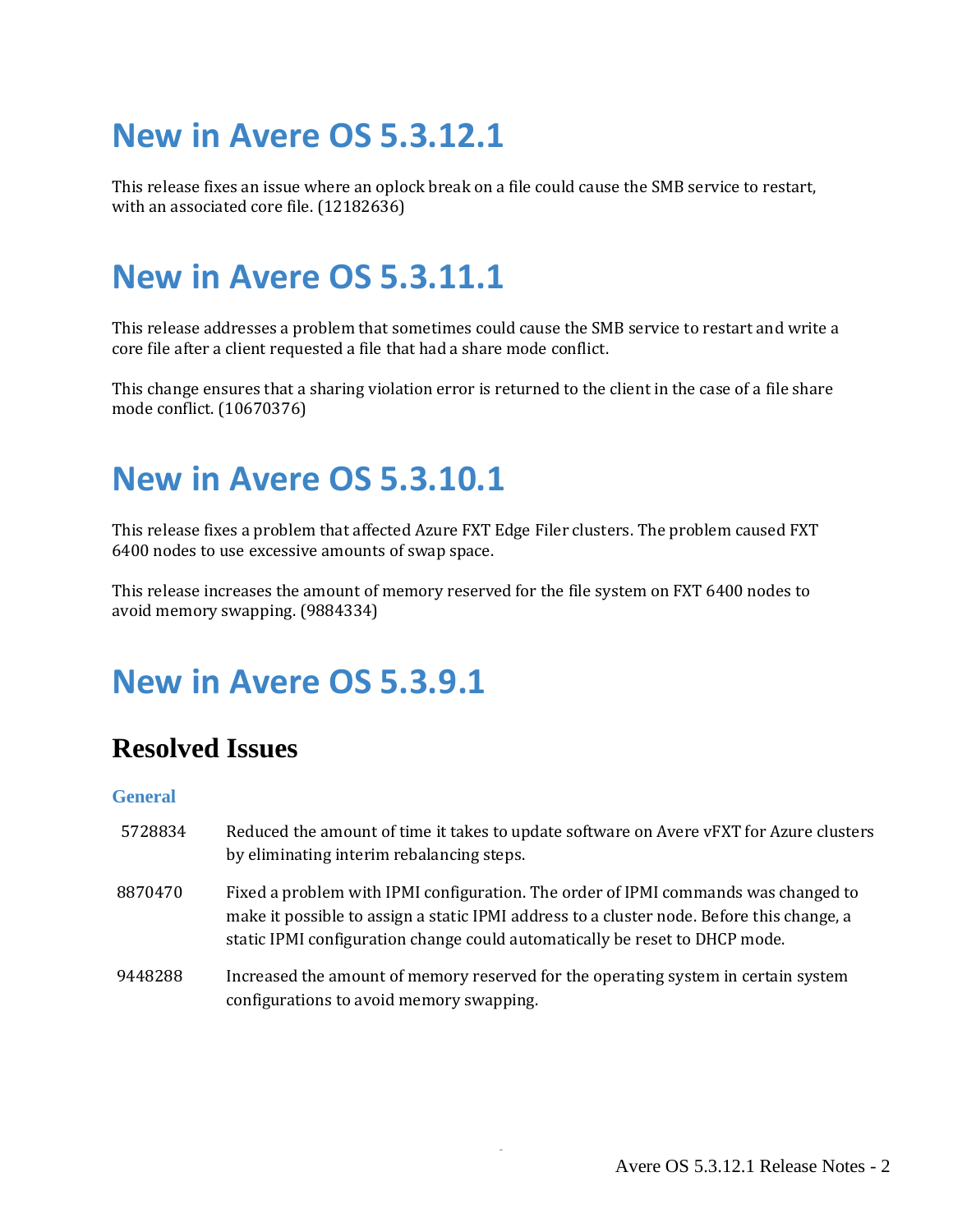# **New in Avere OS 5.3.12.1**

This release fixes an issue where an oplock break on a file could cause the SMB service to restart, with an associated core file. (12182636)

# **New in Avere OS 5.3.11.1**

This release addresses a problem that sometimes could cause the SMB service to restart and write a core file after a client requested a file that had a share mode conflict.

This change ensures that a sharing violation error is returned to the client in the case of a file share mode conflict. (10670376)

## **New in Avere OS 5.3.10.1**

This release fixes a problem that affected Azure FXT Edge Filer clusters. The problem caused FXT 6400 nodes to use excessive amounts of swap space.

This release increases the amount of memory reserved for the file system on FXT 6400 nodes to avoid memory swapping. (9884334)

## **New in Avere OS 5.3.9.1**

## **Resolved Issues**

#### **General**

- 5728834 Reduced the amount of time it takes to update software on Avere vFXT for Azure clusters by eliminating interim rebalancing steps.
- 8870470 Fixed a problem with IPMI configuration. The order of IPMI commands was changed to make it possible to assign a static IPMI address to a cluster node. Before this change, a static IPMI configuration change could automatically be reset to DHCP mode.
- 9448288 Increased the amount of memory reserved for the operating system in certain system configurations to avoid memory swapping.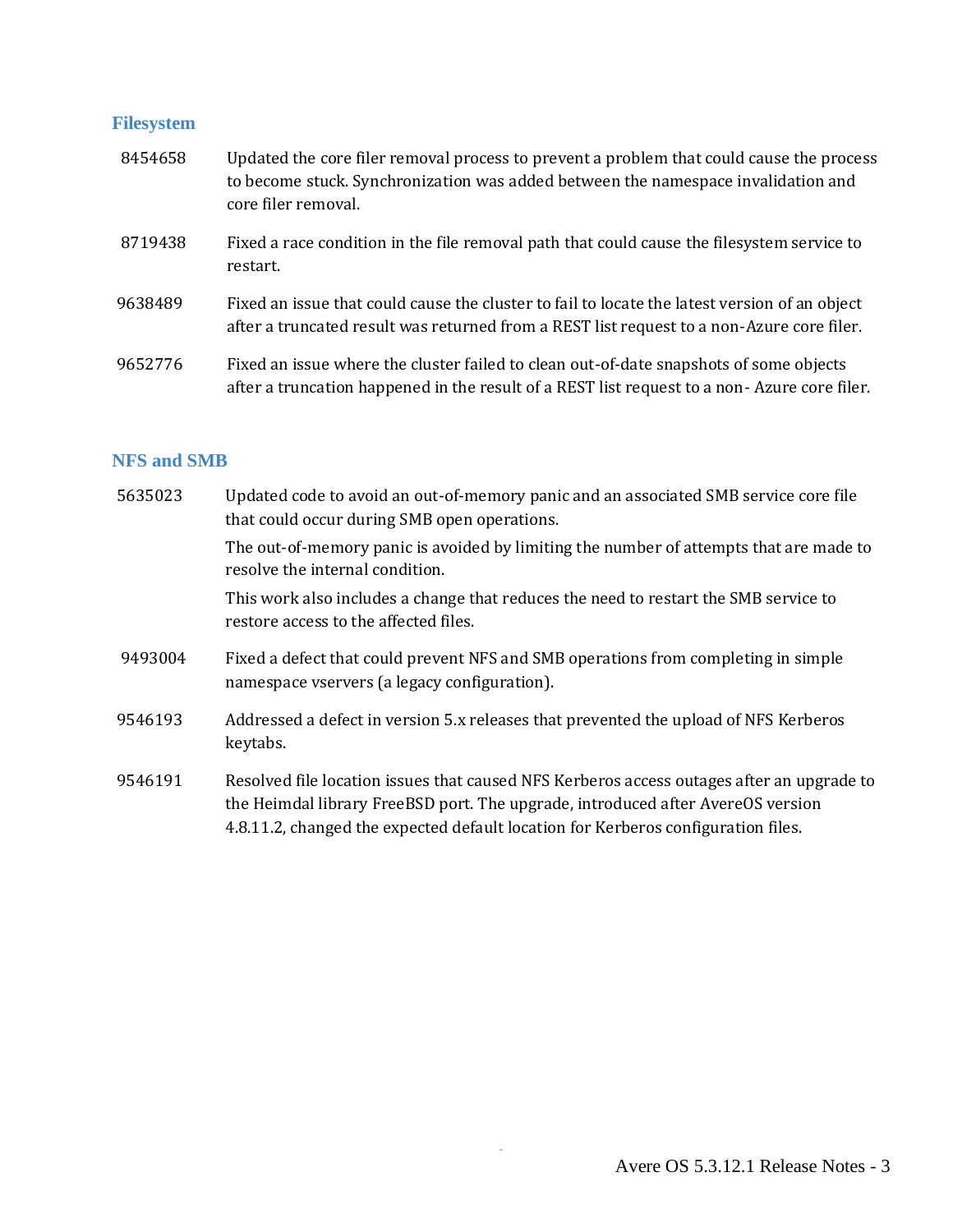### **Filesystem**

| 8454658 | Updated the core filer removal process to prevent a problem that could cause the process<br>to become stuck. Synchronization was added between the namespace invalidation and<br>core filer removal. |
|---------|------------------------------------------------------------------------------------------------------------------------------------------------------------------------------------------------------|
| 8719438 | Fixed a race condition in the file removal path that could cause the filesystem service to<br>restart.                                                                                               |
| 9638489 | Fixed an issue that could cause the cluster to fail to locate the latest version of an object<br>after a truncated result was returned from a REST list request to a non-Azure core filer.           |
| 9652776 | Fixed an issue where the cluster failed to clean out-of-date snapshots of some objects<br>after a truncation happened in the result of a REST list request to a non-Azure core filer.                |

### **NFS and SMB**

| 5635023 | Updated code to avoid an out-of-memory panic and an associated SMB service core file<br>that could occur during SMB open operations.                                                                                                                              |
|---------|-------------------------------------------------------------------------------------------------------------------------------------------------------------------------------------------------------------------------------------------------------------------|
|         | The out-of-memory panic is avoided by limiting the number of attempts that are made to<br>resolve the internal condition.                                                                                                                                         |
|         | This work also includes a change that reduces the need to restart the SMB service to<br>restore access to the affected files.                                                                                                                                     |
| 9493004 | Fixed a defect that could prevent NFS and SMB operations from completing in simple<br>namespace vservers (a legacy configuration).                                                                                                                                |
| 9546193 | Addressed a defect in version 5.x releases that prevented the upload of NFS Kerberos<br>keytabs.                                                                                                                                                                  |
| 9546191 | Resolved file location issues that caused NFS Kerberos access outages after an upgrade to<br>the Heimdal library FreeBSD port. The upgrade, introduced after AvereOS version<br>4.8.11.2, changed the expected default location for Kerberos configuration files. |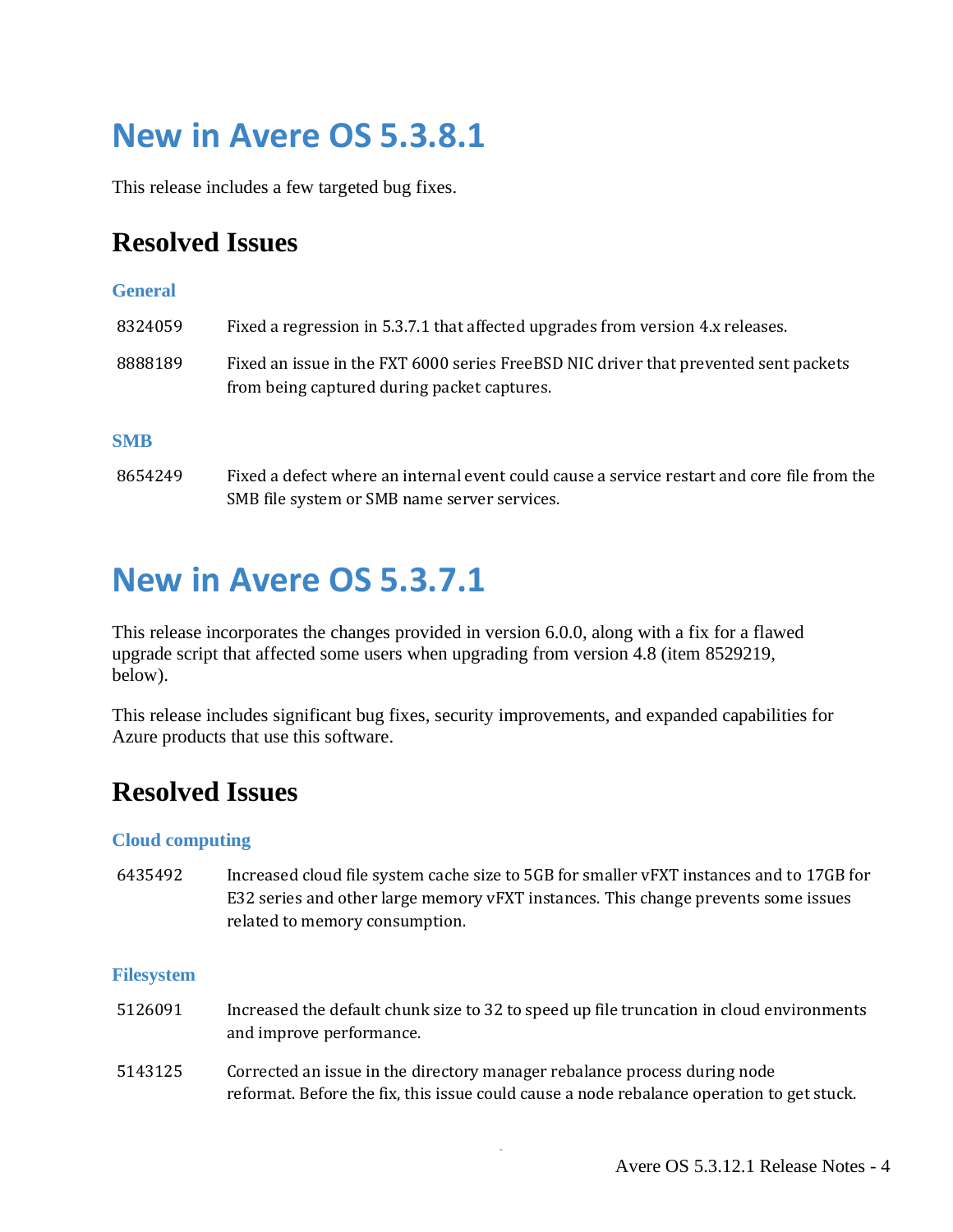# **New in Avere OS 5.3.8.1**

This release includes a few targeted bug fixes.

## **Resolved Issues**

#### **General**

| 8324059 | Fixed a regression in 5.3.7.1 that affected upgrades from version 4.x releases.                                                     |
|---------|-------------------------------------------------------------------------------------------------------------------------------------|
| 8888189 | Fixed an issue in the FXT 6000 series FreeBSD NIC driver that prevented sent packets<br>from being captured during packet captures. |
| CR ID   |                                                                                                                                     |

### **SMB**

8654249 Fixed a defect where an internal event could cause a service restart and core file from the SMB file system or SMB name server services.

## **New in Avere OS 5.3.7.1**

This release incorporates the changes provided in version 6.0.0, along with a fix for a flawed upgrade script that affected some users when upgrading from version 4.8 (item 8529219, below).

This release includes significant bug fixes, security improvements, and expanded capabilities for Azure products that use this software.

## **Resolved Issues**

### **Cloud computing**

6435492 Increased cloud file system cache size to 5GB for smaller vFXT instances and to 17GB for E32 series and other large memory vFXT instances. This change prevents some issues related to memory consumption.

#### **Filesystem**

- 5126091 Increased the default chunk size to 32 to speed up file truncation in cloud environments and improve performance.
- 5143125 Corrected an issue in the directory manager rebalance process during node reformat. Before the fix, this issue could cause a node rebalance operation to get stuck.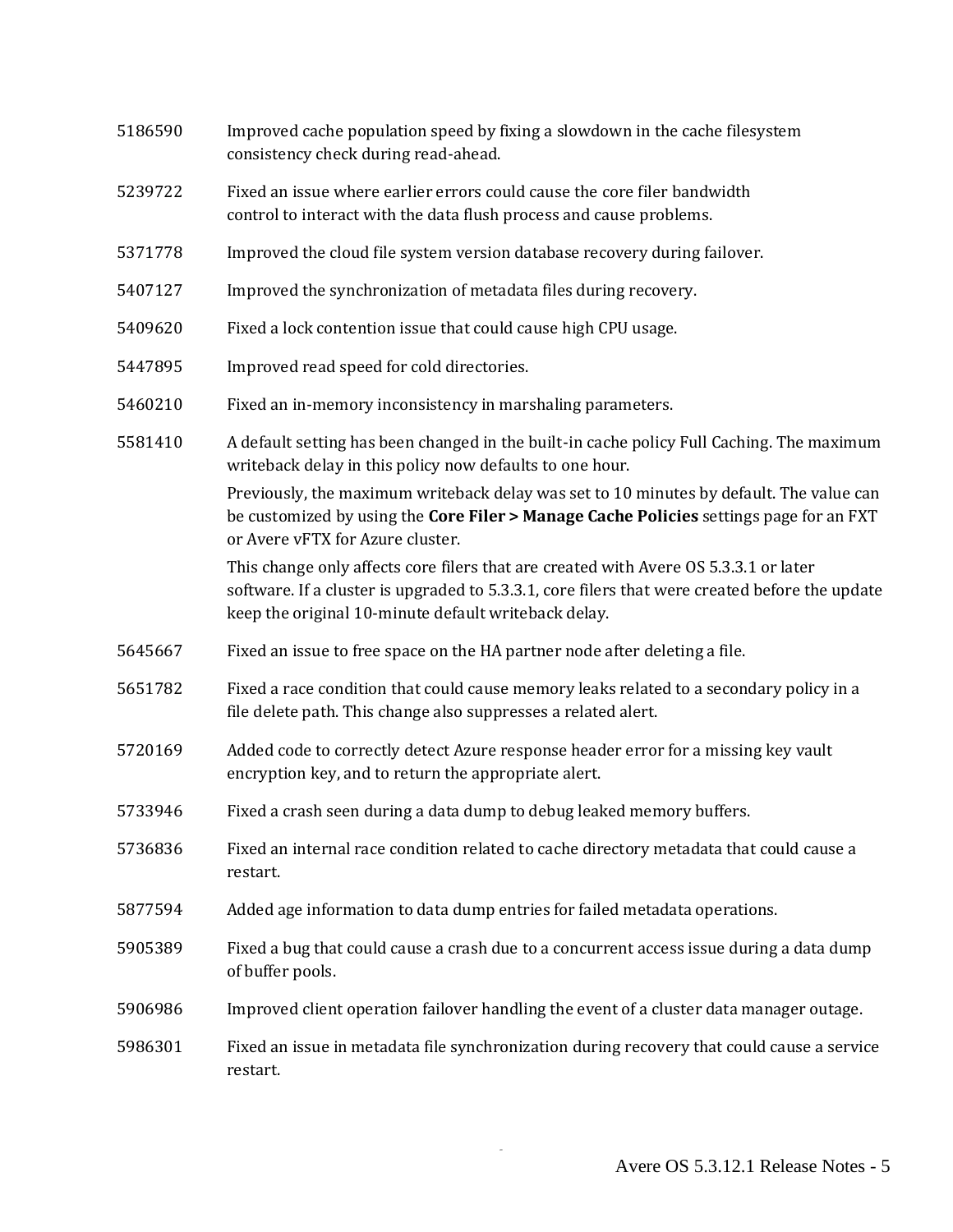| 5186590 | Improved cache population speed by fixing a slowdown in the cache filesystem<br>consistency check during read-ahead.                                                                                                                           |
|---------|------------------------------------------------------------------------------------------------------------------------------------------------------------------------------------------------------------------------------------------------|
| 5239722 | Fixed an issue where earlier errors could cause the core filer bandwidth<br>control to interact with the data flush process and cause problems.                                                                                                |
| 5371778 | Improved the cloud file system version database recovery during failover.                                                                                                                                                                      |
| 5407127 | Improved the synchronization of metadata files during recovery.                                                                                                                                                                                |
| 5409620 | Fixed a lock contention issue that could cause high CPU usage.                                                                                                                                                                                 |
| 5447895 | Improved read speed for cold directories.                                                                                                                                                                                                      |
| 5460210 | Fixed an in-memory inconsistency in marshaling parameters.                                                                                                                                                                                     |
| 5581410 | A default setting has been changed in the built-in cache policy Full Caching. The maximum<br>writeback delay in this policy now defaults to one hour.                                                                                          |
|         | Previously, the maximum writeback delay was set to 10 minutes by default. The value can<br>be customized by using the Core Filer > Manage Cache Policies settings page for an FXT<br>or Avere vFTX for Azure cluster.                          |
|         | This change only affects core filers that are created with Avere OS 5.3.3.1 or later<br>software. If a cluster is upgraded to 5.3.3.1, core filers that were created before the update<br>keep the original 10-minute default writeback delay. |
| 5645667 | Fixed an issue to free space on the HA partner node after deleting a file.                                                                                                                                                                     |
| 5651782 | Fixed a race condition that could cause memory leaks related to a secondary policy in a<br>file delete path. This change also suppresses a related alert.                                                                                      |
| 5720169 | Added code to correctly detect Azure response header error for a missing key vault<br>encryption key, and to return the appropriate alert.                                                                                                     |
| 5733946 | Fixed a crash seen during a data dump to debug leaked memory buffers.                                                                                                                                                                          |
| 5736836 | Fixed an internal race condition related to cache directory metadata that could cause a<br>restart.                                                                                                                                            |
| 5877594 | Added age information to data dump entries for failed metadata operations.                                                                                                                                                                     |
| 5905389 | Fixed a bug that could cause a crash due to a concurrent access issue during a data dump<br>of buffer pools.                                                                                                                                   |
| 5906986 | Improved client operation failover handling the event of a cluster data manager outage.                                                                                                                                                        |
| 5986301 | Fixed an issue in metadata file synchronization during recovery that could cause a service<br>restart.                                                                                                                                         |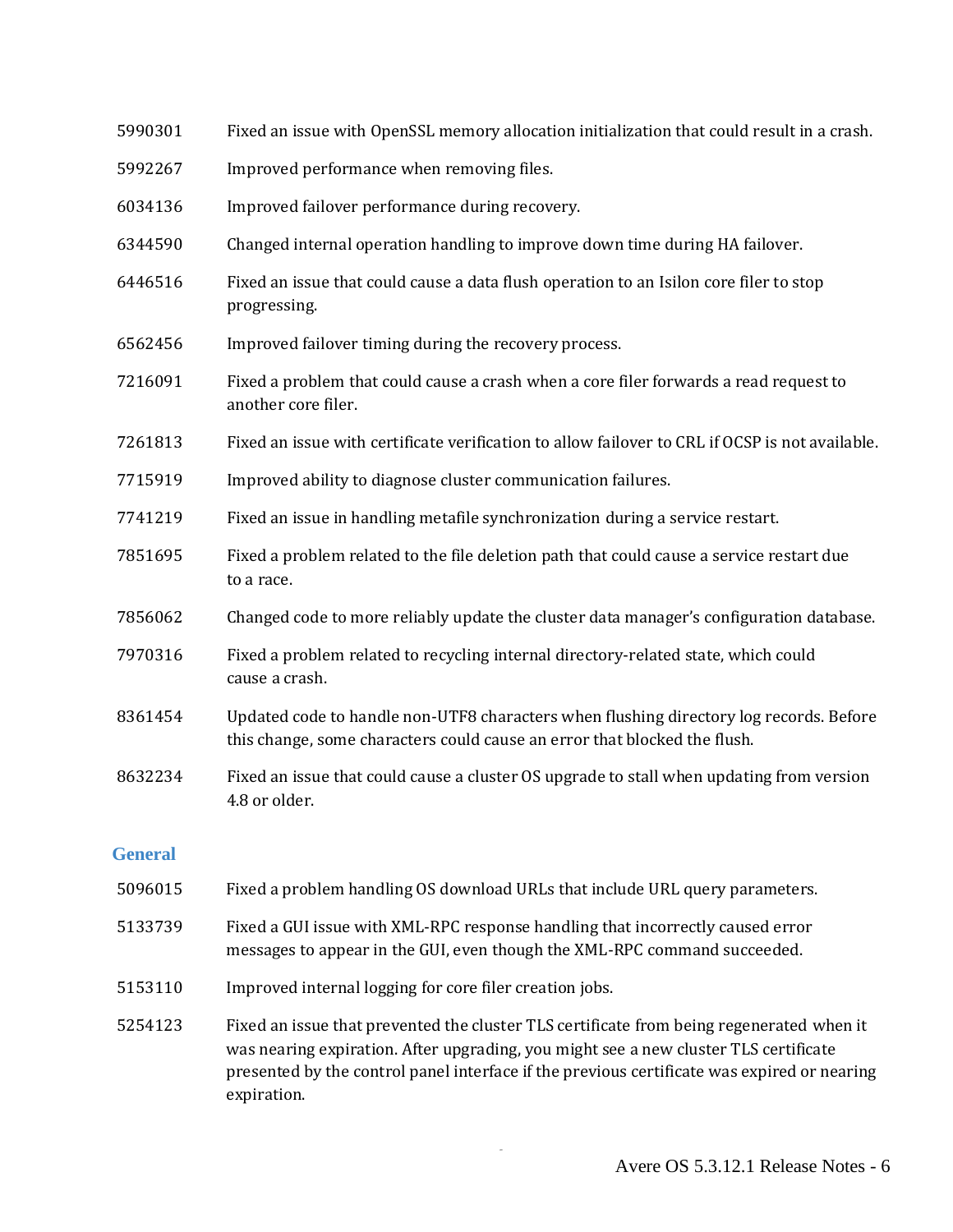- Fixed an issue with OpenSSL memory allocation initialization that could result in a crash. Improved performance when removing files. Improved failover performance during recovery. Changed internal operation handling to improve down time during HA failover. Fixed an issue that could cause a data flush operation to an Isilon core filer to stop progressing. Improved failover timing during the recovery process. Fixed a problem that could cause a crash when a core filer forwards a read request to another core filer. Fixed an issue with certificate verification to allow failover to CRL if OCSP is not available. Improved ability to diagnose cluster communication failures. Fixed an issue in handling metafile synchronization during a service restart. Fixed a problem related to the file deletion path that could cause a service restart due to a race.  Changed code to more reliably update the cluster data manager's configuration database. Fixed a problem related to recycling internal directory-related state, which could cause a crash. Updated code to handle non-UTF8 characters when flushing directory log records. Before this change, some characters could cause an error that blocked the flush. Fixed an issue that could cause a cluster OS upgrade to stall when updating from version 4.8 or older. **General** Fixed a problem handling OS download URLs that include URL query parameters. Fixed a GUI issue with XML-RPC response handling that incorrectly caused error messages to appear in the GUI, even though the XML-RPC command succeeded. Improved internal logging for core filer creation jobs. Fixed an issue that prevented the cluster TLS certificate from being regenerated when it
	- was nearing expiration. After upgrading, you might see a new cluster TLS certificate presented by the control panel interface if the previous certificate was expired or nearing expiration.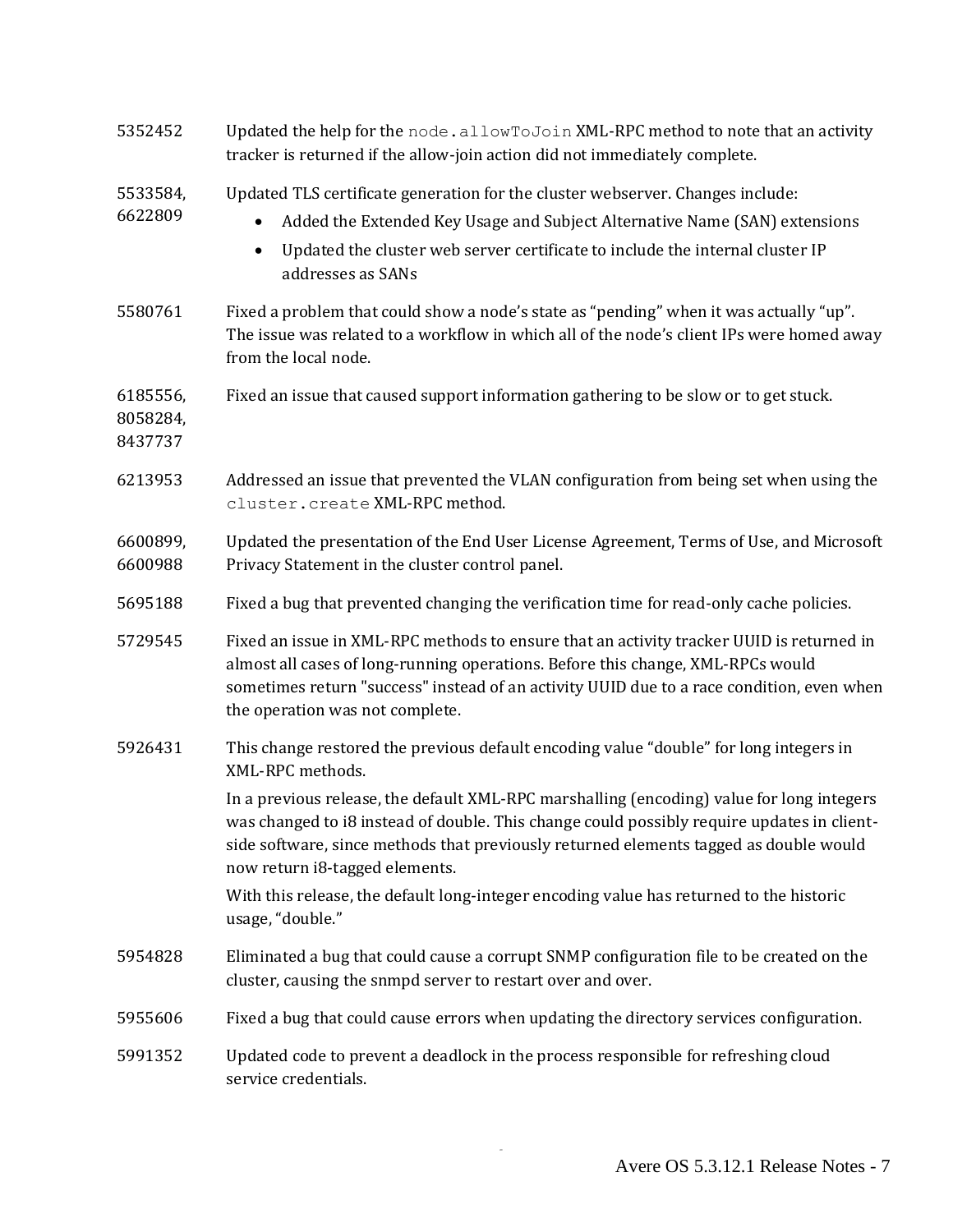| 5352452                         | Updated the help for the node.allowToJoin XML-RPC method to note that an activity<br>tracker is returned if the allow-join action did not immediately complete.                                                                                                                                                    |
|---------------------------------|--------------------------------------------------------------------------------------------------------------------------------------------------------------------------------------------------------------------------------------------------------------------------------------------------------------------|
| 5533584,<br>6622809             | Updated TLS certificate generation for the cluster webserver. Changes include:<br>Added the Extended Key Usage and Subject Alternative Name (SAN) extensions<br>$\bullet$<br>Updated the cluster web server certificate to include the internal cluster IP<br>$\bullet$<br>addresses as SANs                       |
| 5580761                         | Fixed a problem that could show a node's state as "pending" when it was actually "up".<br>The issue was related to a workflow in which all of the node's client IPs were homed away<br>from the local node.                                                                                                        |
| 6185556,<br>8058284,<br>8437737 | Fixed an issue that caused support information gathering to be slow or to get stuck.                                                                                                                                                                                                                               |
| 6213953                         | Addressed an issue that prevented the VLAN configuration from being set when using the<br>cluster.create XML-RPC method.                                                                                                                                                                                           |
| 6600899,<br>6600988             | Updated the presentation of the End User License Agreement, Terms of Use, and Microsoft<br>Privacy Statement in the cluster control panel.                                                                                                                                                                         |
| 5695188                         | Fixed a bug that prevented changing the verification time for read-only cache policies.                                                                                                                                                                                                                            |
| 5729545                         | Fixed an issue in XML-RPC methods to ensure that an activity tracker UUID is returned in<br>almost all cases of long-running operations. Before this change, XML-RPCs would<br>sometimes return "success" instead of an activity UUID due to a race condition, even when<br>the operation was not complete.        |
| 5926431                         | This change restored the previous default encoding value "double" for long integers in<br>XML-RPC methods.                                                                                                                                                                                                         |
|                                 | In a previous release, the default XML-RPC marshalling (encoding) value for long integers<br>was changed to i8 instead of double. This change could possibly require updates in client-<br>side software, since methods that previously returned elements tagged as double would<br>now return i8-tagged elements. |
|                                 | With this release, the default long-integer encoding value has returned to the historic<br>usage, "double."                                                                                                                                                                                                        |
| 5954828                         | Eliminated a bug that could cause a corrupt SNMP configuration file to be created on the<br>cluster, causing the snmpd server to restart over and over.                                                                                                                                                            |
| 5955606                         | Fixed a bug that could cause errors when updating the directory services configuration.                                                                                                                                                                                                                            |
| 5991352                         | Updated code to prevent a deadlock in the process responsible for refreshing cloud<br>service credentials.                                                                                                                                                                                                         |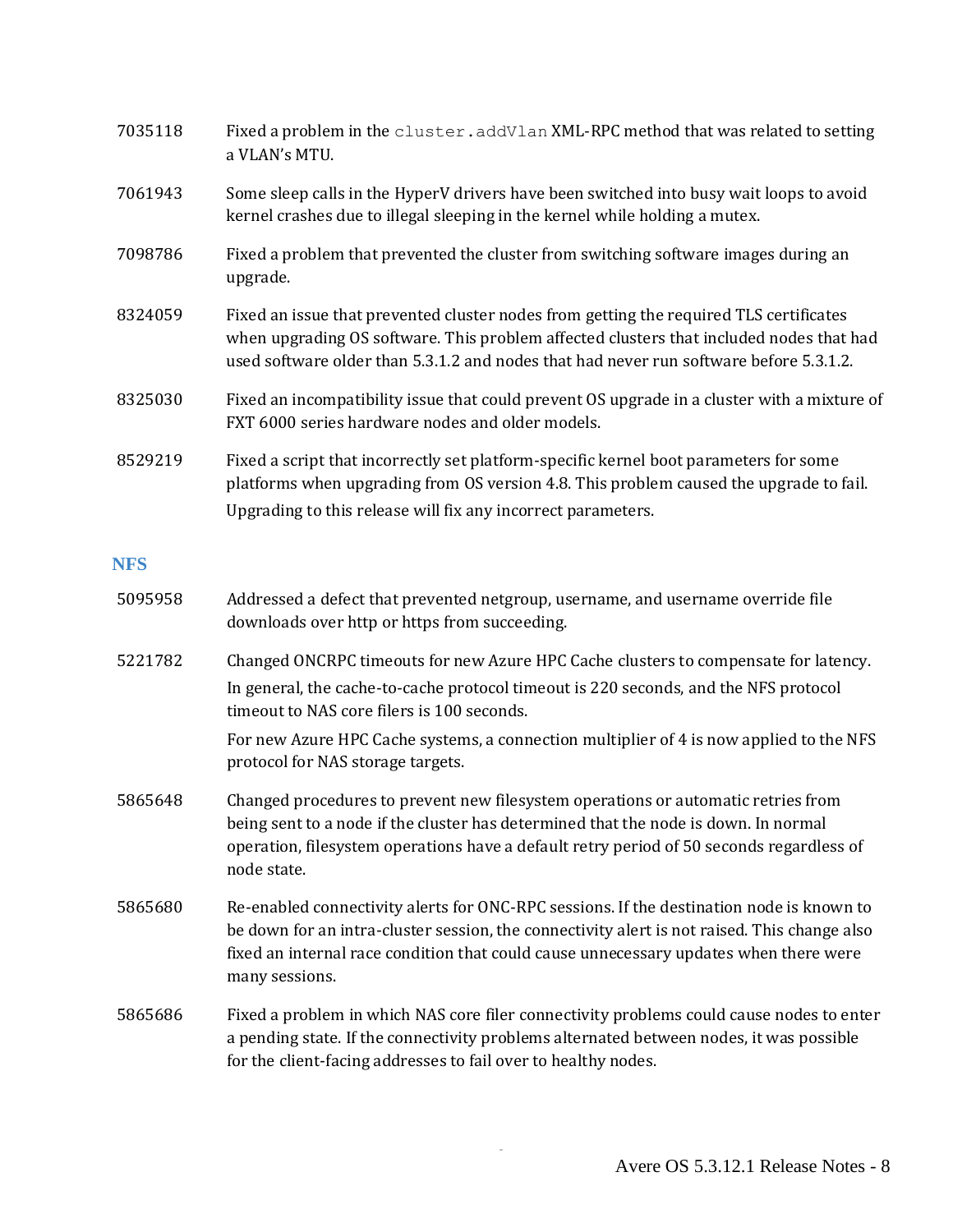| 7035118    | Fixed a problem in the cluster.addVlan XML-RPC method that was related to setting<br>a VLAN's MTU.                                                                                                                                                                                                  |
|------------|-----------------------------------------------------------------------------------------------------------------------------------------------------------------------------------------------------------------------------------------------------------------------------------------------------|
| 7061943    | Some sleep calls in the HyperV drivers have been switched into busy wait loops to avoid<br>kernel crashes due to illegal sleeping in the kernel while holding a mutex.                                                                                                                              |
| 7098786    | Fixed a problem that prevented the cluster from switching software images during an<br>upgrade.                                                                                                                                                                                                     |
| 8324059    | Fixed an issue that prevented cluster nodes from getting the required TLS certificates<br>when upgrading OS software. This problem affected clusters that included nodes that had<br>used software older than 5.3.1.2 and nodes that had never run software before 5.3.1.2.                         |
| 8325030    | Fixed an incompatibility issue that could prevent OS upgrade in a cluster with a mixture of<br>FXT 6000 series hardware nodes and older models.                                                                                                                                                     |
| 8529219    | Fixed a script that incorrectly set platform-specific kernel boot parameters for some<br>platforms when upgrading from OS version 4.8. This problem caused the upgrade to fail.<br>Upgrading to this release will fix any incorrect parameters.                                                     |
| <b>NFS</b> |                                                                                                                                                                                                                                                                                                     |
| 5095958    | Addressed a defect that prevented netgroup, username, and username override file<br>downloads over http or https from succeeding.                                                                                                                                                                   |
| 5221782    | Changed ONCRPC timeouts for new Azure HPC Cache clusters to compensate for latency.                                                                                                                                                                                                                 |
|            | In general, the cache-to-cache protocol timeout is 220 seconds, and the NFS protocol<br>timeout to NAS core filers is 100 seconds.                                                                                                                                                                  |
|            | For new Azure HPC Cache systems, a connection multiplier of 4 is now applied to the NFS<br>protocol for NAS storage targets.                                                                                                                                                                        |
| 5865648    | Changed procedures to prevent new filesystem operations or automatic retries from<br>being sent to a node if the cluster has determined that the node is down. In normal<br>operation, filesystem operations have a default retry period of 50 seconds regardless of<br>node state.                 |
| 5865680    | Re-enabled connectivity alerts for ONC-RPC sessions. If the destination node is known to<br>be down for an intra-cluster session, the connectivity alert is not raised. This change also<br>fixed an internal race condition that could cause unnecessary updates when there were<br>many sessions. |
| 5865686    | Fixed a problem in which NAS core filer connectivity problems could cause nodes to enter<br>a pending state. If the connectivity problems alternated between nodes, it was possible<br>for the client-facing addresses to fail over to healthy nodes.                                               |

 $\sim$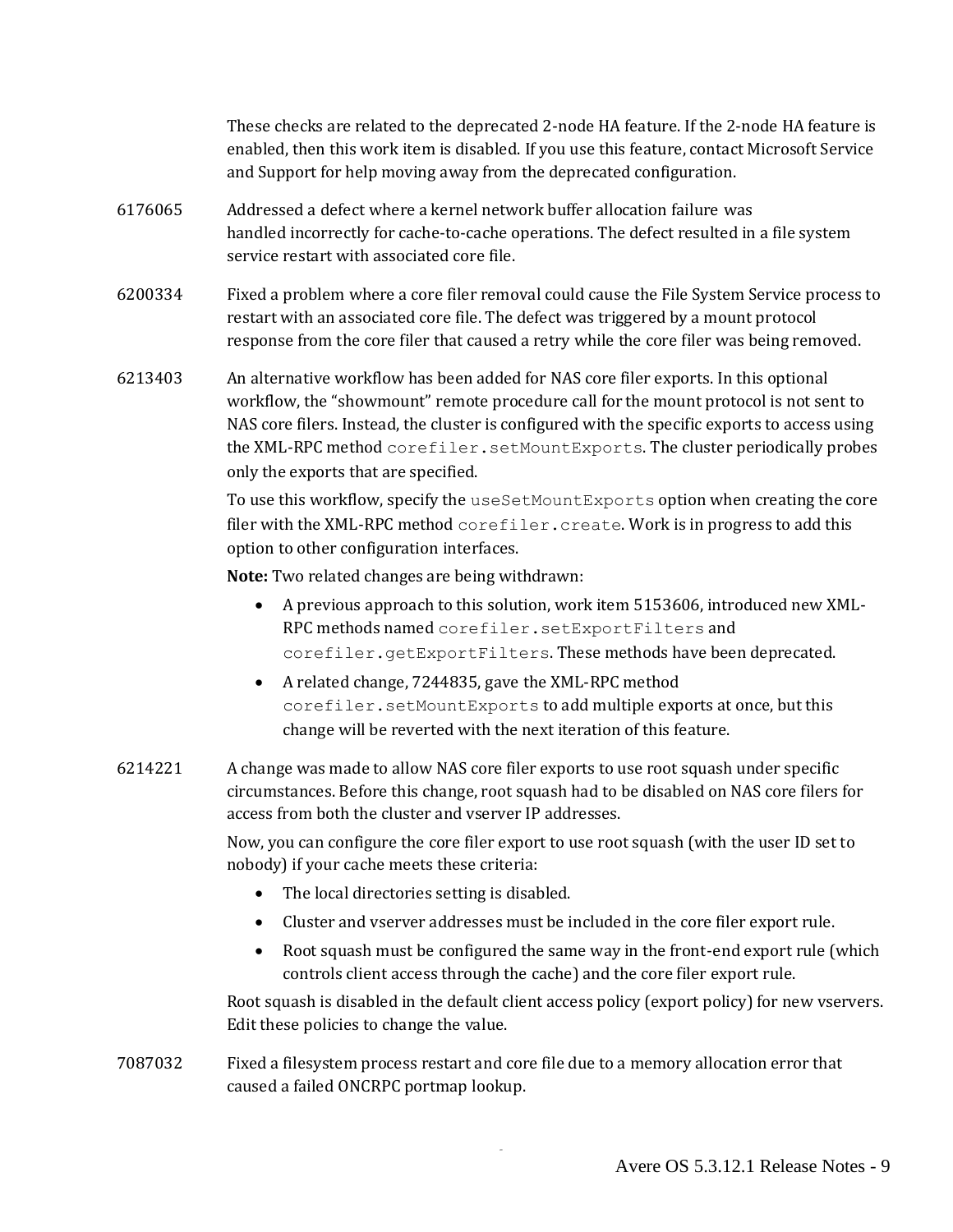These checks are related to the deprecated 2-node HA feature. If the 2-node HA feature is enabled, then this work item is disabled. If you use this feature, contact Microsoft Service and Support for help moving away from the deprecated configuration.

- 6176065 Addressed a defect where a kernel network buffer allocation failure was handled incorrectly for cache-to-cache operations. The defect resulted in a file system service restart with associated core file.
- 6200334 Fixed a problem where a core filer removal could cause the File System Service process to restart with an associated core file. The defect was triggered by a mount protocol response from the core filer that caused a retry while the core filer was being removed.
- 6213403 An alternative workflow has been added for NAS core filer exports. In this optional workflow, the "showmount" remote procedure call for the mount protocol is not sent to NAS core filers. Instead, the cluster is configured with the specific exports to access using the XML-RPC method corefiler.setMountExports. The cluster periodically probes only the exports that are specified.

To use this workflow, specify the useSetMountExports option when creating the core filer with the XML-RPC method corefiler.create. Work is in progress to add this option to other configuration interfaces.

**Note:** Two related changes are being withdrawn:

- A previous approach to this solution, work item 5153606, introduced new XML-RPC methods named corefiler.setExportFilters and corefiler.getExportFilters. These methods have been deprecated.
- A related change, 7244835, gave the XML-RPC method corefiler.setMountExports to add multiple exports at once, but this change will be reverted with the next iteration of this feature.
- 6214221 A change was made to allow NAS core filer exports to use root squash under specific circumstances. Before this change, root squash had to be disabled on NAS core filers for access from both the cluster and vserver IP addresses.

Now, you can configure the core filer export to use root squash (with the user ID set to nobody) if your cache meets these criteria:

- The local directories setting is disabled.
- Cluster and vserver addresses must be included in the core filer export rule.
- Root squash must be configured the same way in the front-end export rule (which controls client access through the cache) and the core filer export rule.

Root squash is disabled in the default client access policy (export policy) for new vservers. Edit these policies to change the value.

7087032 Fixed a filesystem process restart and core file due to a memory allocation error that caused a failed ONCRPC portmap lookup.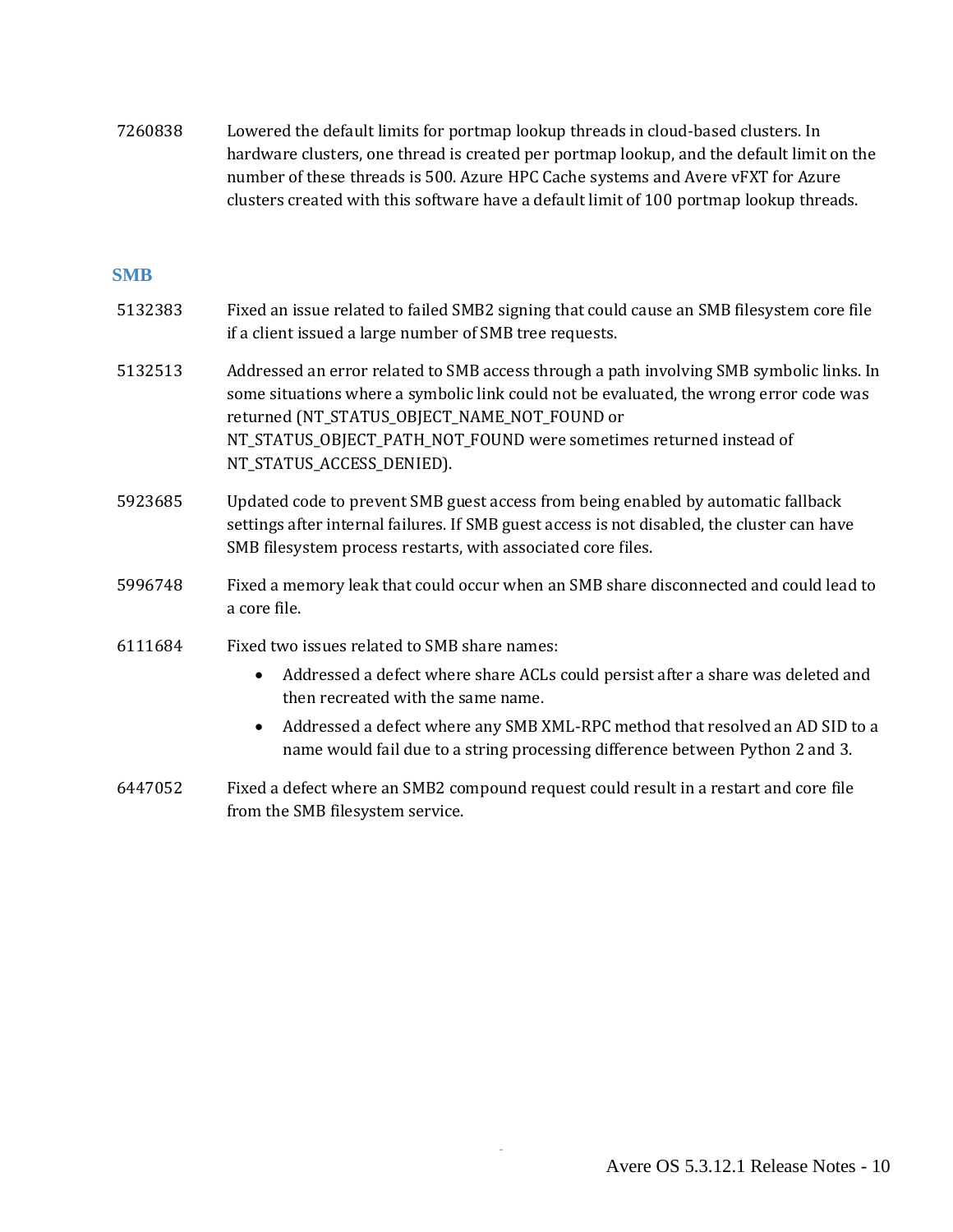7260838 Lowered the default limits for portmap lookup threads in cloud-based clusters. In hardware clusters, one thread is created per portmap lookup, and the default limit on the number of these threads is 500. Azure HPC Cache systems and Avere vFXT for Azure clusters created with this software have a default limit of 100 portmap lookup threads.

#### **SMB**

| 5132383 | Fixed an issue related to failed SMB2 signing that could cause an SMB filesystem core file<br>if a client issued a large number of SMB tree requests.                                                                                                                                                                                 |
|---------|---------------------------------------------------------------------------------------------------------------------------------------------------------------------------------------------------------------------------------------------------------------------------------------------------------------------------------------|
| 5132513 | Addressed an error related to SMB access through a path involving SMB symbolic links. In<br>some situations where a symbolic link could not be evaluated, the wrong error code was<br>returned (NT_STATUS_OBJECT_NAME_NOT_FOUND or<br>NT_STATUS_OBJECT_PATH_NOT_FOUND were sometimes returned instead of<br>NT_STATUS_ACCESS_DENIED). |
| 5923685 | Updated code to prevent SMB guest access from being enabled by automatic fallback<br>settings after internal failures. If SMB guest access is not disabled, the cluster can have<br>SMB filesystem process restarts, with associated core files.                                                                                      |
| 5996748 | Fixed a memory leak that could occur when an SMB share disconnected and could lead to<br>a core file.                                                                                                                                                                                                                                 |
| 6111684 | Fixed two issues related to SMB share names:                                                                                                                                                                                                                                                                                          |
|         | Addressed a defect where share ACLs could persist after a share was deleted and<br>$\bullet$<br>then recreated with the same name.                                                                                                                                                                                                    |
|         | Addressed a defect where any SMB XML-RPC method that resolved an AD SID to a<br>$\bullet$<br>name would fail due to a string processing difference between Python 2 and 3.                                                                                                                                                            |
| 6447052 | Fixed a defect where an SMB2 compound request could result in a restart and core file<br>from the SMB filesystem service.                                                                                                                                                                                                             |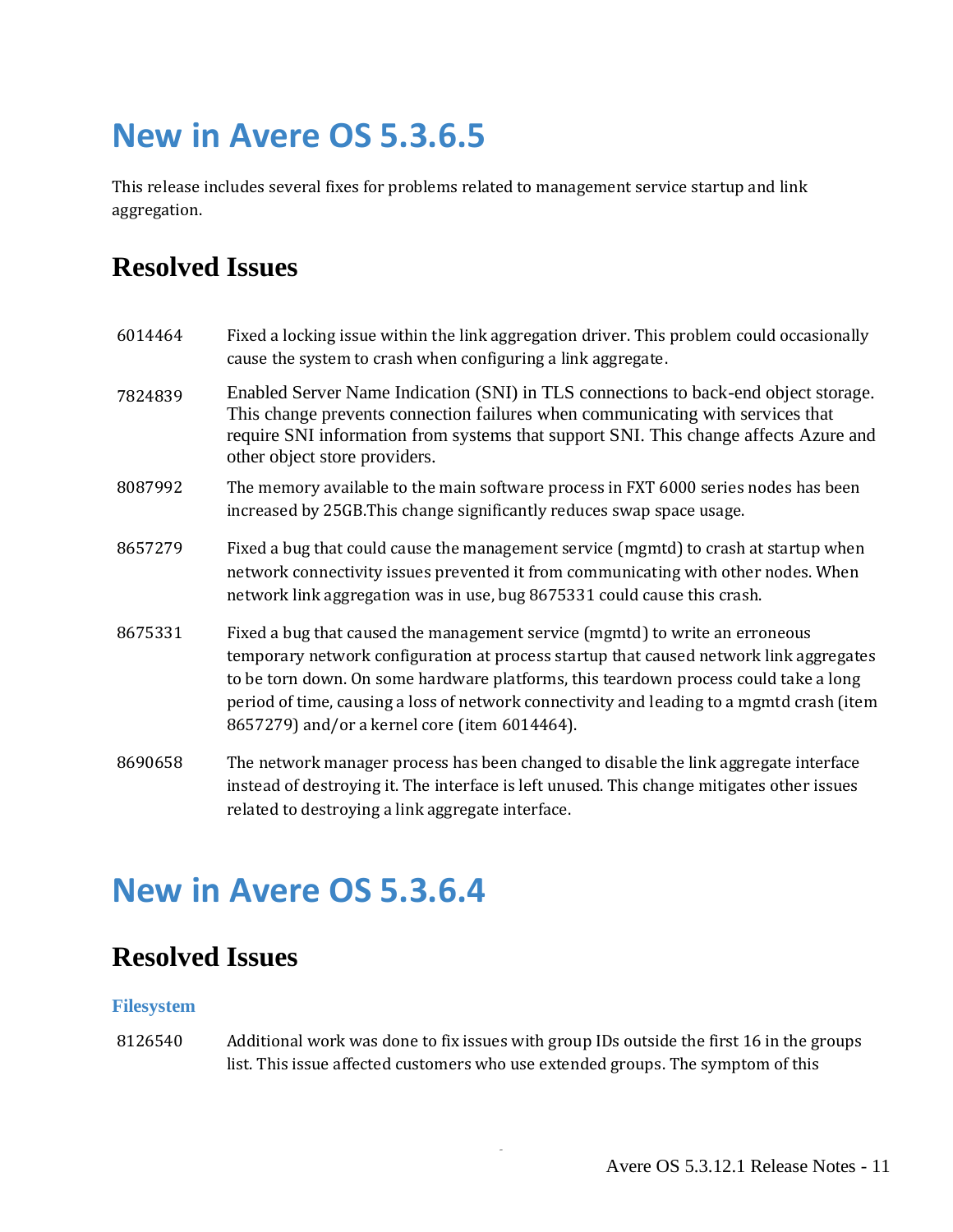# **New in Avere OS 5.3.6.5**

This release includes several fixes for problems related to management service startup and link aggregation.

## **Resolved Issues**

| 6014464 | Fixed a locking issue within the link aggregation driver. This problem could occasionally<br>cause the system to crash when configuring a link aggregate.                                                                                                                                                                                                                                                    |
|---------|--------------------------------------------------------------------------------------------------------------------------------------------------------------------------------------------------------------------------------------------------------------------------------------------------------------------------------------------------------------------------------------------------------------|
| 7824839 | Enabled Server Name Indication (SNI) in TLS connections to back-end object storage.<br>This change prevents connection failures when communicating with services that<br>require SNI information from systems that support SNI. This change affects Azure and<br>other object store providers.                                                                                                               |
| 8087992 | The memory available to the main software process in FXT 6000 series nodes has been<br>increased by 25GB. This change significantly reduces swap space usage.                                                                                                                                                                                                                                                |
| 8657279 | Fixed a bug that could cause the management service (mgmtd) to crash at startup when<br>network connectivity issues prevented it from communicating with other nodes. When<br>network link aggregation was in use, bug 8675331 could cause this crash.                                                                                                                                                       |
| 8675331 | Fixed a bug that caused the management service (mgmtd) to write an erroneous<br>temporary network configuration at process startup that caused network link aggregates<br>to be torn down. On some hardware platforms, this teardown process could take a long<br>period of time, causing a loss of network connectivity and leading to a mgmtd crash (item<br>8657279) and/or a kernel core (item 6014464). |
| 8690658 | The network manager process has been changed to disable the link aggregate interface<br>instead of destroying it. The interface is left unused. This change mitigates other issues<br>related to destroying a link aggregate interface.                                                                                                                                                                      |

# **New in Avere OS 5.3.6.4**

### **Resolved Issues**

### **Filesystem**

8126540 Additional work was done to fix issues with group IDs outside the first 16 in the groups list. This issue affected customers who use extended groups. The symptom of this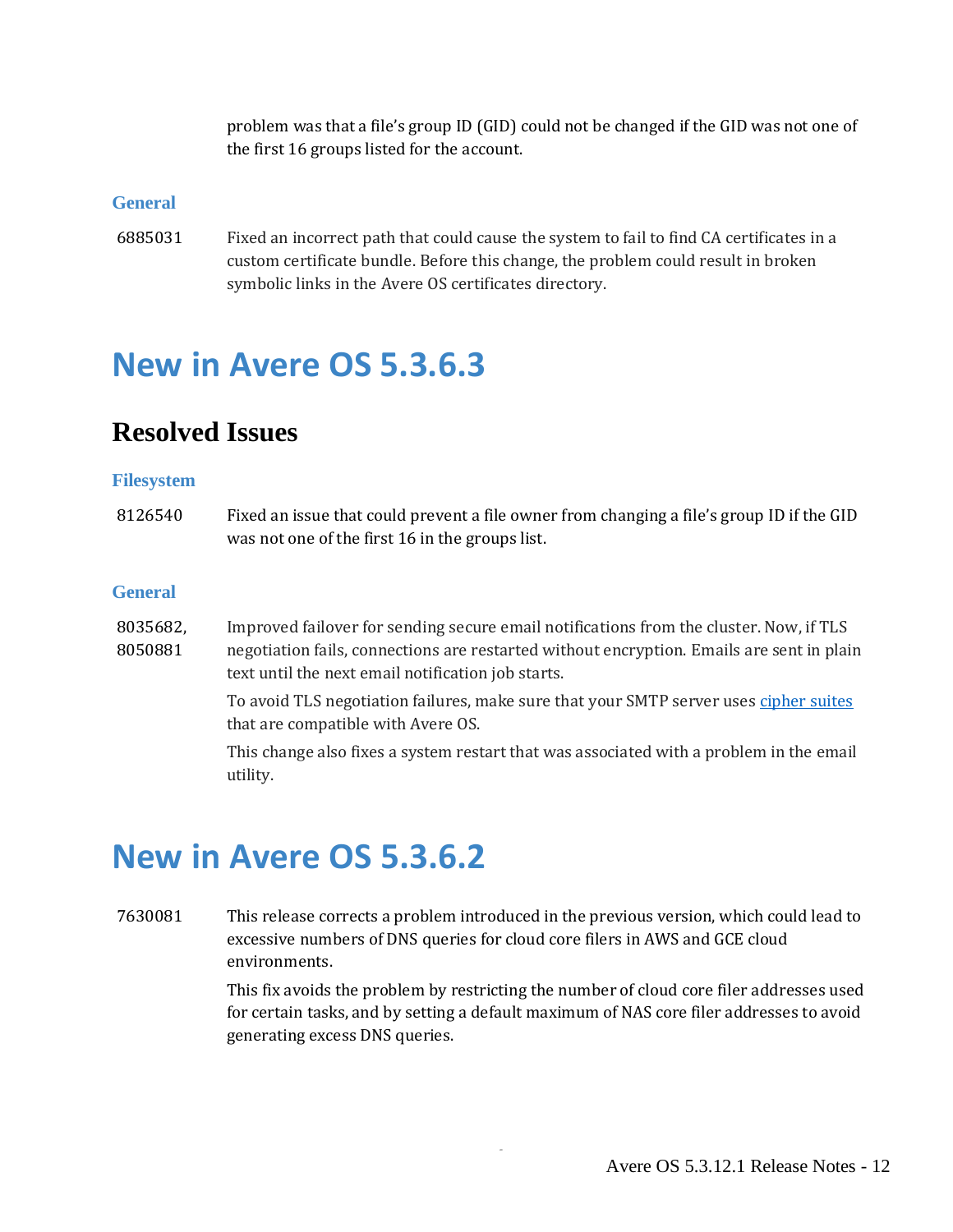problem was that a file's group ID (GID) could not be changed if the GID was not one of the first 16 groups listed for the account.

#### **General**

6885031 Fixed an incorrect path that could cause the system to fail to find CA certificates in a custom certificate bundle. Before this change, the problem could result in broken symbolic links in the Avere OS certificates directory.

## **New in Avere OS 5.3.6.3**

### **Resolved Issues**

#### **Filesystem**

8126540 Fixed an issue that could prevent a file owner from changing a file's group ID if the GID was not one of the first 16 in the groups list.

#### **General**

8035682, 8050881 Improved failover for sending secure email notifications from the cluster. Now, if TLS negotiation fails, connections are restarted without encryption. Emails are sent in plain text until the next email notification job starts.

To avoid TLS negotiation failures, make sure that your SMTP server uses [cipher suites](https://docs.microsoft.com/azure/fxt-edge-filer/fxt-supported-ciphers)

that are compatible with Avere OS.

This change also fixes a system restart that was associated with a problem in the email utility.

## **New in Avere OS 5.3.6.2**

7630081 This release corrects a problem introduced in the previous version, which could lead to excessive numbers of DNS queries for cloud core filers in AWS and GCE cloud environments.

> This fix avoids the problem by restricting the number of cloud core filer addresses used for certain tasks, and by setting a default maximum of NAS core filer addresses to avoid generating excess DNS queries.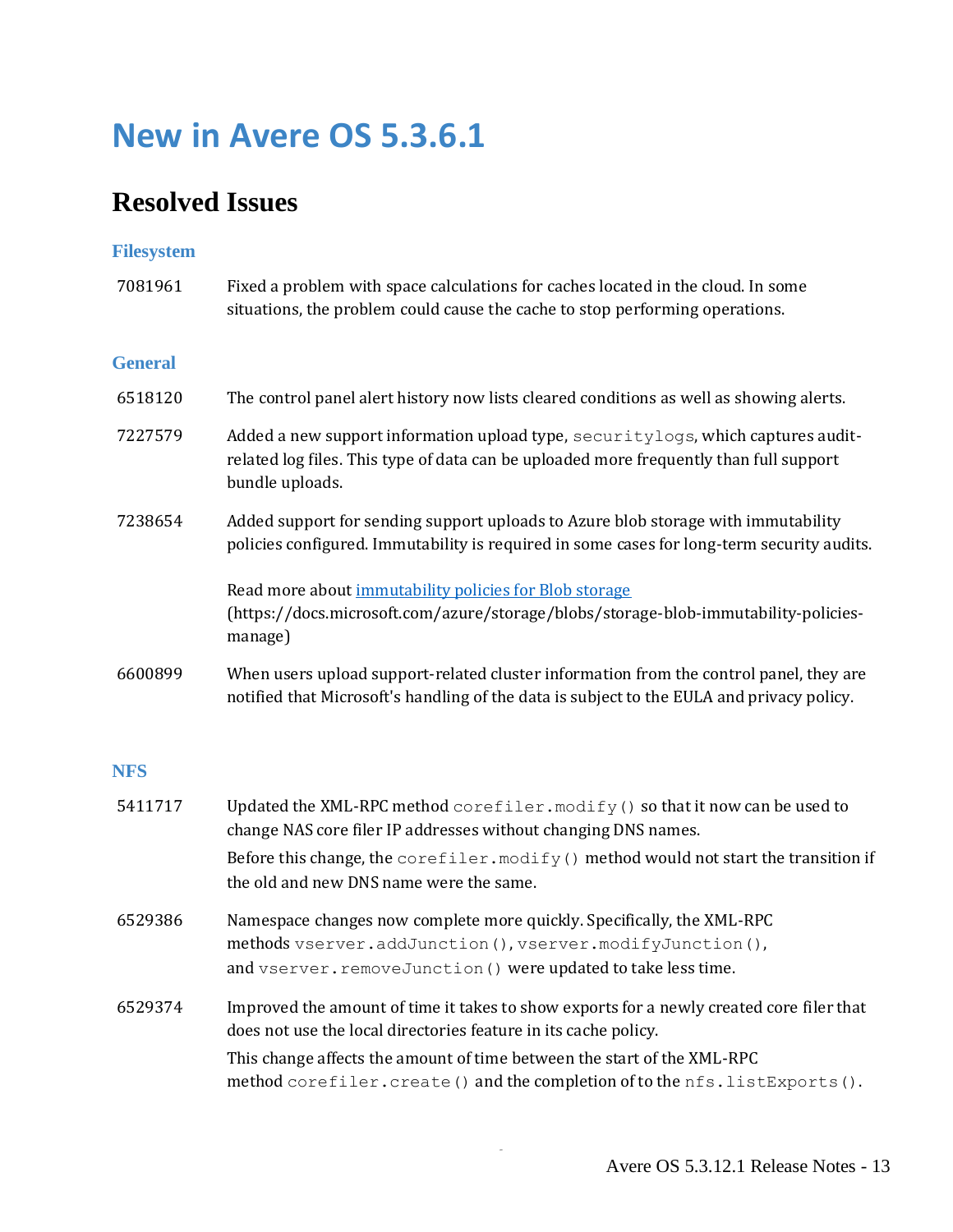# **New in Avere OS 5.3.6.1**

## **Resolved Issues**

### **Filesystem**

| 7081961        | Fixed a problem with space calculations for caches located in the cloud. In some<br>situations, the problem could cause the cache to stop performing operations.                                                                                                                                                                                                                  |
|----------------|-----------------------------------------------------------------------------------------------------------------------------------------------------------------------------------------------------------------------------------------------------------------------------------------------------------------------------------------------------------------------------------|
| <b>General</b> |                                                                                                                                                                                                                                                                                                                                                                                   |
| 6518120        | The control panel alert history now lists cleared conditions as well as showing alerts.                                                                                                                                                                                                                                                                                           |
| 7227579        | Added a new support information upload type, securitylogs, which captures audit-<br>related log files. This type of data can be uploaded more frequently than full support<br>bundle uploads.                                                                                                                                                                                     |
| 7238654        | Added support for sending support uploads to Azure blob storage with immutability<br>policies configured. Immutability is required in some cases for long-term security audits.                                                                                                                                                                                                   |
|                | Read more about immutability policies for Blob storage<br>(https://docs.microsoft.com/azure/storage/blobs/storage-blob-immutability-policies-<br>manage)                                                                                                                                                                                                                          |
| 6600899        | When users upload support-related cluster information from the control panel, they are<br>notified that Microsoft's handling of the data is subject to the EULA and privacy policy.                                                                                                                                                                                               |
| <b>NFS</b>     |                                                                                                                                                                                                                                                                                                                                                                                   |
| 5411717        | Updated the XML-RPC method corefiler. modify () so that it now can be used to<br>$\mathbf{A}$ and $\mathbf{A}$ and $\mathbf{A}$ and $\mathbf{A}$ and $\mathbf{A}$ and $\mathbf{A}$ and $\mathbf{A}$ and $\mathbf{A}$ and $\mathbf{A}$ and $\mathbf{A}$ and $\mathbf{A}$ and $\mathbf{A}$ and $\mathbf{A}$ and $\mathbf{A}$ and $\mathbf{A}$ and $\mathbf{A}$ and $\mathbf{A}$ and |

|         | change NAS core filer IP addresses without changing DNS names.                                                                                                                                       |
|---------|------------------------------------------------------------------------------------------------------------------------------------------------------------------------------------------------------|
|         | Before this change, the $\c{corefilter.modify}$ () method would not start the transition if                                                                                                          |
|         | the old and new DNS name were the same.                                                                                                                                                              |
| 6529386 | Namespace changes now complete more quickly. Specifically, the XML-RPC<br>methods vserver.addJunction(), vserver.modifyJunction(),<br>and vserver. removeJunction () were updated to take less time. |
| 6529374 | Improved the amount of time it takes to show exports for a newly created core filer that<br>does not use the local directories feature in its cache policy.                                          |
|         | This change affects the amount of time between the start of the XML-RPC<br>method corefiler.create() and the completion of to the nfs.listExports().                                                 |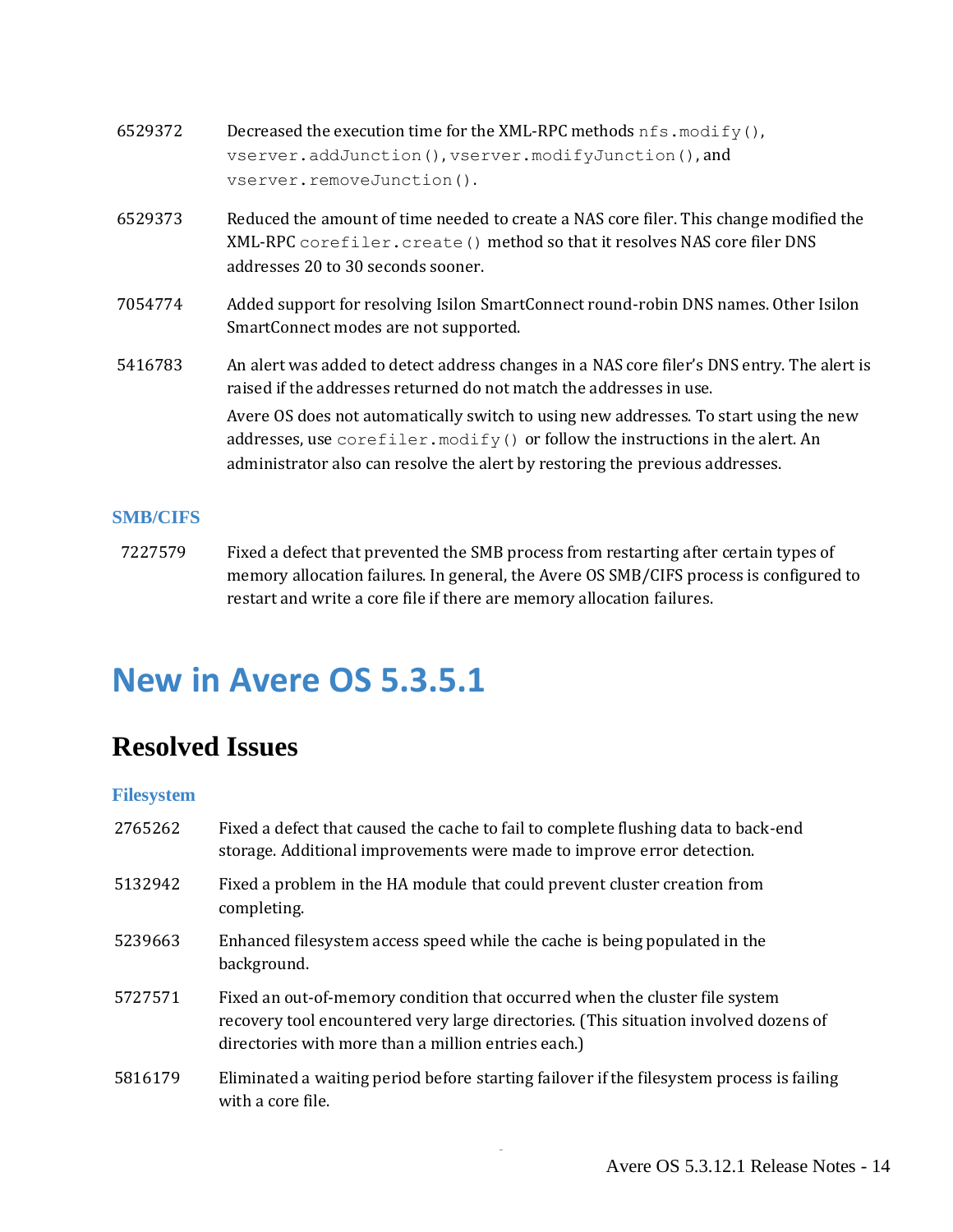| 6529372 | Decreased the execution time for the XML-RPC methods nfs.modify(),                                                                                                                                                                                                |
|---------|-------------------------------------------------------------------------------------------------------------------------------------------------------------------------------------------------------------------------------------------------------------------|
|         | vserver.addJunction(), vserver.modifyJunction(), and                                                                                                                                                                                                              |
|         | vserver.removeJunction().                                                                                                                                                                                                                                         |
| 6529373 | Reduced the amount of time needed to create a NAS core filer. This change modified the<br>XML-RPC corefiler. create () method so that it resolves NAS core filer DNS<br>addresses 20 to 30 seconds sooner.                                                        |
| 7054774 | Added support for resolving Isilon SmartConnect round-robin DNS names. Other Isilon<br>SmartConnect modes are not supported.                                                                                                                                      |
| 5416783 | An alert was added to detect address changes in a NAS core filer's DNS entry. The alert is<br>raised if the addresses returned do not match the addresses in use.                                                                                                 |
|         | Avere OS does not automatically switch to using new addresses. To start using the new<br>addresses, use $\text{corefilter.modify}()$ or follow the instructions in the alert. An<br>administrator also can resolve the alert by restoring the previous addresses. |
|         |                                                                                                                                                                                                                                                                   |

### **SMB/CIFS**

7227579 Fixed a defect that prevented the SMB process from restarting after certain types of memory allocation failures. In general, the Avere OS SMB/CIFS process is configured to restart and write a core file if there are memory allocation failures.

## **New in Avere OS 5.3.5.1**

## **Resolved Issues**

#### **Filesystem**

| 2765262 | Fixed a defect that caused the cache to fail to complete flushing data to back-end<br>storage. Additional improvements were made to improve error detection.                                                               |
|---------|----------------------------------------------------------------------------------------------------------------------------------------------------------------------------------------------------------------------------|
| 5132942 | Fixed a problem in the HA module that could prevent cluster creation from<br>completing.                                                                                                                                   |
| 5239663 | Enhanced filesystem access speed while the cache is being populated in the<br>background.                                                                                                                                  |
| 5727571 | Fixed an out-of-memory condition that occurred when the cluster file system<br>recovery tool encountered very large directories. (This situation involved dozens of<br>directories with more than a million entries each.) |
| 5816179 | Eliminated a waiting period before starting failover if the filesystem process is failing<br>with a core file.                                                                                                             |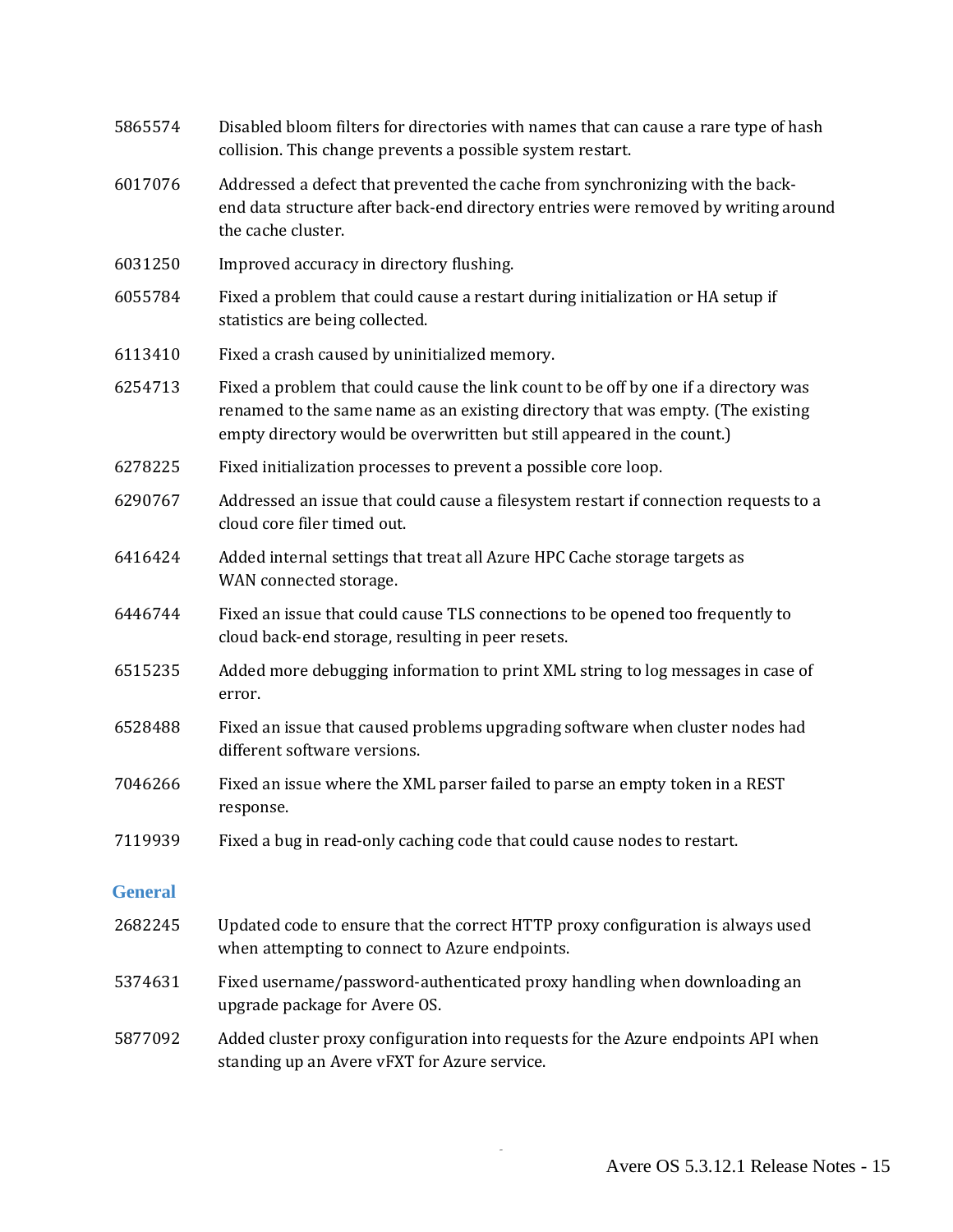| 5865574        | Disabled bloom filters for directories with names that can cause a rare type of hash<br>collision. This change prevents a possible system restart.                                                                                               |
|----------------|--------------------------------------------------------------------------------------------------------------------------------------------------------------------------------------------------------------------------------------------------|
| 6017076        | Addressed a defect that prevented the cache from synchronizing with the back-<br>end data structure after back-end directory entries were removed by writing around<br>the cache cluster.                                                        |
| 6031250        | Improved accuracy in directory flushing.                                                                                                                                                                                                         |
| 6055784        | Fixed a problem that could cause a restart during initialization or HA setup if<br>statistics are being collected.                                                                                                                               |
| 6113410        | Fixed a crash caused by uninitialized memory.                                                                                                                                                                                                    |
| 6254713        | Fixed a problem that could cause the link count to be off by one if a directory was<br>renamed to the same name as an existing directory that was empty. (The existing<br>empty directory would be overwritten but still appeared in the count.) |
| 6278225        | Fixed initialization processes to prevent a possible core loop.                                                                                                                                                                                  |
| 6290767        | Addressed an issue that could cause a filesystem restart if connection requests to a<br>cloud core filer timed out.                                                                                                                              |
| 6416424        | Added internal settings that treat all Azure HPC Cache storage targets as<br>WAN connected storage.                                                                                                                                              |
| 6446744        | Fixed an issue that could cause TLS connections to be opened too frequently to<br>cloud back-end storage, resulting in peer resets.                                                                                                              |
| 6515235        | Added more debugging information to print XML string to log messages in case of<br>error.                                                                                                                                                        |
| 6528488        | Fixed an issue that caused problems upgrading software when cluster nodes had<br>different software versions.                                                                                                                                    |
| 7046266        | Fixed an issue where the XML parser failed to parse an empty token in a REST<br>response.                                                                                                                                                        |
| 7119939        | Fixed a bug in read-only caching code that could cause nodes to restart.                                                                                                                                                                         |
| <b>General</b> |                                                                                                                                                                                                                                                  |
| 2682245        | Updated code to ensure that the correct HTTP proxy configuration is always used<br>when attempting to connect to Azure endpoints.                                                                                                                |
| 5374631        | Fixed username/password-authenticated proxy handling when downloading an<br>upgrade package for Avere OS.                                                                                                                                        |
| 5877092        | Added cluster proxy configuration into requests for the Azure endpoints API when<br>standing up an Avere vFXT for Azure service.                                                                                                                 |
|                |                                                                                                                                                                                                                                                  |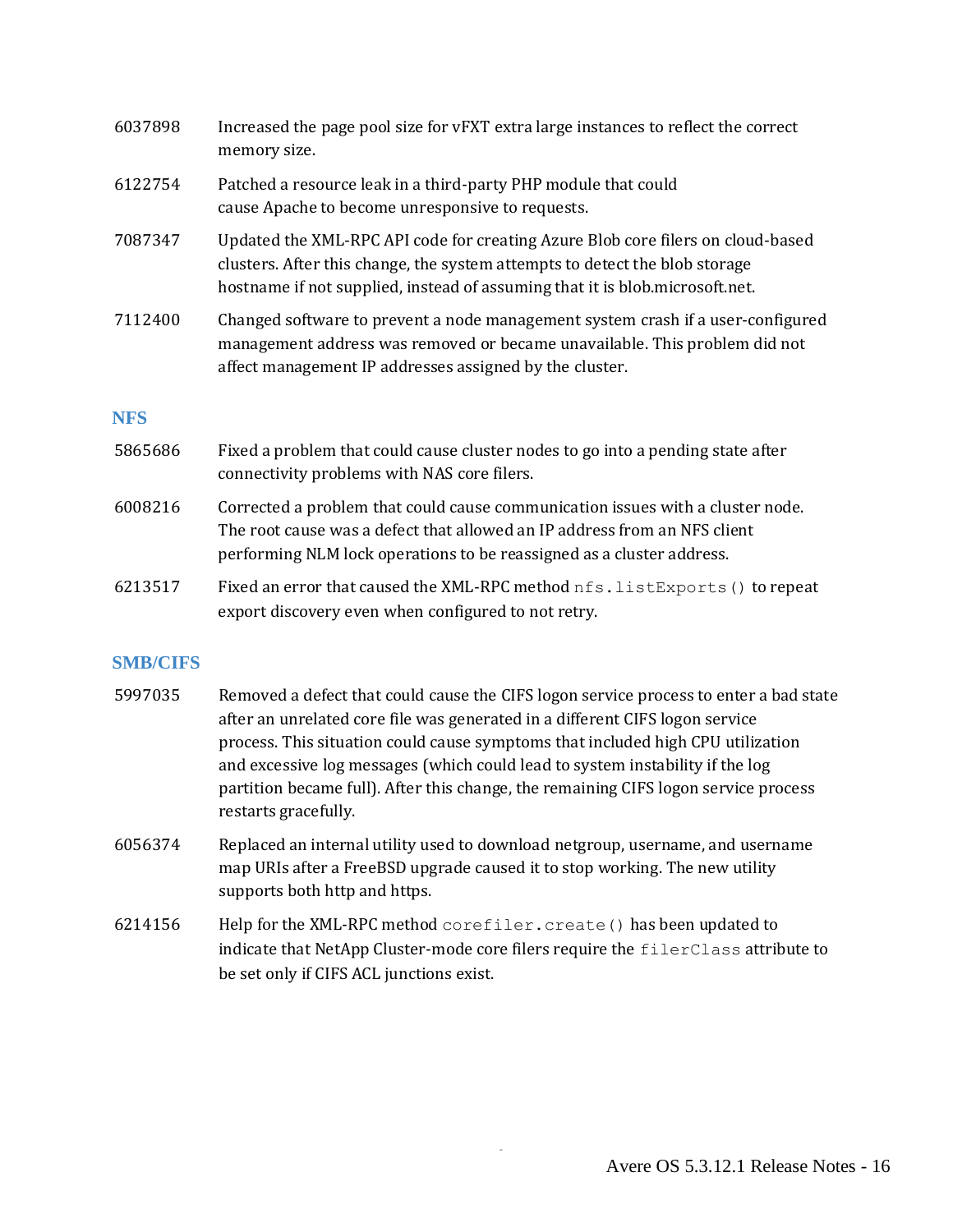| 6037898 | Increased the page pool size for vFXT extra large instances to reflect the correct<br>memory size.                                                                                                                                             |
|---------|------------------------------------------------------------------------------------------------------------------------------------------------------------------------------------------------------------------------------------------------|
| 6122754 | Patched a resource leak in a third-party PHP module that could<br>cause Apache to become unresponsive to requests.                                                                                                                             |
| 7087347 | Updated the XML-RPC API code for creating Azure Blob core filers on cloud-based<br>clusters. After this change, the system attempts to detect the blob storage<br>hostname if not supplied, instead of assuming that it is blob.microsoft.net. |
| 7112400 | Changed software to prevent a node management system crash if a user-configured<br>management address was removed or became unavailable. This problem did not<br>affect management IP addresses assigned by the cluster.                       |

#### **NFS**

- 5865686 Fixed a problem that could cause cluster nodes to go into a pending state after connectivity problems with NAS core filers.
- 6008216 Corrected a problem that could cause communication issues with a cluster node. The root cause was a defect that allowed an IP address from an NFS client performing NLM lock operations to be reassigned as a cluster address.
- 6213517 Fixed an error that caused the XML-RPC method nfs.listExports() to repeat export discovery even when configured to not retry.

#### **SMB/CIFS**

- 5997035 Removed a defect that could cause the CIFS logon service process to enter a bad state after an unrelated core file was generated in a different CIFS logon service process. This situation could cause symptoms that included high CPU utilization and excessive log messages (which could lead to system instability if the log partition became full). After this change, the remaining CIFS logon service process restarts gracefully.
- 6056374 Replaced an internal utility used to download netgroup, username, and username map URIs after a FreeBSD upgrade caused it to stop working. The new utility supports both http and https.
- 6214156 Help for the XML-RPC method corefiler.create() has been updated to indicate that NetApp Cluster-mode core filers require the filerClass attribute to be set only if CIFS ACL junctions exist.